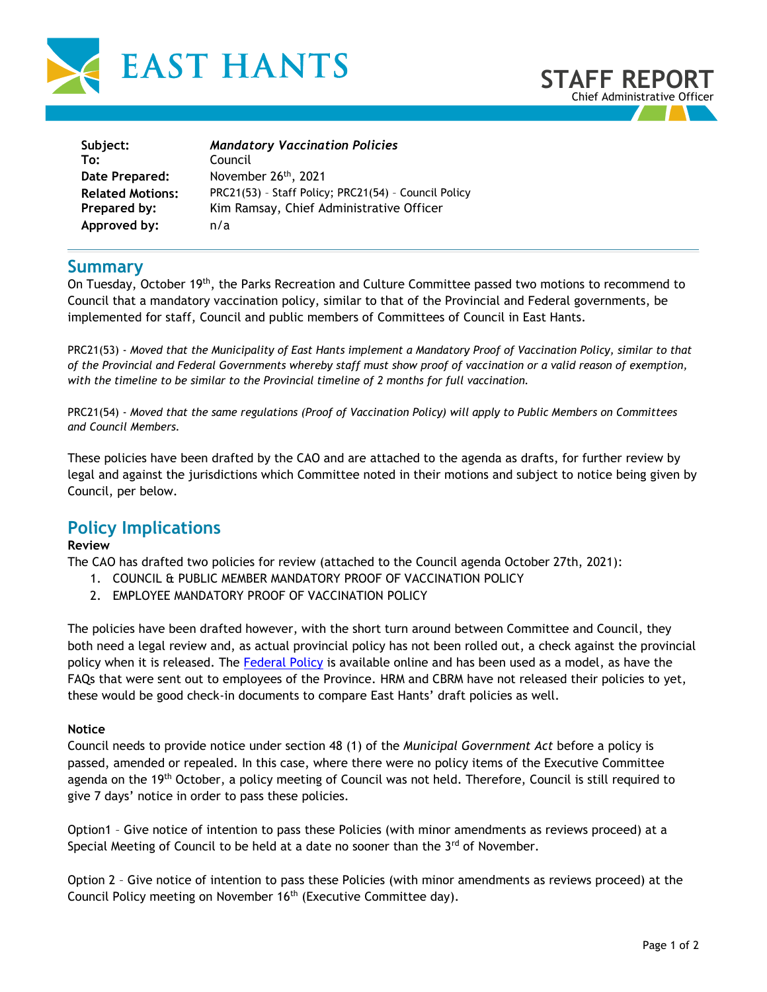



| Subject:                | <b>Mandatory Vaccination Policies</b>                |
|-------------------------|------------------------------------------------------|
| To:                     | Council                                              |
| Date Prepared:          | November 26 <sup>th</sup> , 2021                     |
| <b>Related Motions:</b> | PRC21(53) - Staff Policy; PRC21(54) - Council Policy |
| Prepared by:            | Kim Ramsay, Chief Administrative Officer             |
| Approved by:            | n/a                                                  |

### **Summary**

On Tuesday, October 19th, the Parks Recreation and Culture Committee passed two motions to recommend to Council that a mandatory vaccination policy, similar to that of the Provincial and Federal governments, be implemented for staff, Council and public members of Committees of Council in East Hants.

PRC21(53) - *Moved that the Municipality of East Hants implement a Mandatory Proof of Vaccination Policy, similar to that of the Provincial and Federal Governments whereby staff must show proof of vaccination or a valid reason of exemption, with the timeline to be similar to the Provincial timeline of 2 months for full vaccination.*

PRC21(54) - *Moved that the same regulations (Proof of Vaccination Policy) will apply to Public Members on Committees and Council Members.*

These policies have been drafted by the CAO and are attached to the agenda as drafts, for further review by legal and against the jurisdictions which Committee noted in their motions and subject to notice being given by Council, per below.

# **Policy Implications**

### **Review**

The CAO has drafted two policies for review (attached to the Council agenda October 27th, 2021):

- 1. COUNCIL & PUBLIC MEMBER MANDATORY PROOF OF VACCINATION POLICY
- 2. EMPLOYEE MANDATORY PROOF OF VACCINATION POLICY

The policies have been drafted however, with the short turn around between Committee and Council, they both need a legal review and, as actual provincial policy has not been rolled out, a check against the provincial policy when it is released. The [Federal Policy](https://www.tbs-sct.gc.ca/pol/doc-eng.aspx?id=32694) is available online and has been used as a model, as have the FAQs that were sent out to employees of the Province. HRM and CBRM have not released their policies to yet, these would be good check-in documents to compare East Hants' draft policies as well.

#### **Notice**

Council needs to provide notice under section 48 (1) of the *Municipal Government Act* before a policy is passed, amended or repealed. In this case, where there were no policy items of the Executive Committee agenda on the 19<sup>th</sup> October, a policy meeting of Council was not held. Therefore, Council is still required to give 7 days' notice in order to pass these policies.

Option1 – Give notice of intention to pass these Policies (with minor amendments as reviews proceed) at a Special Meeting of Council to be held at a date no sooner than the  $3<sup>rd</sup>$  of November.

Option 2 – Give notice of intention to pass these Policies (with minor amendments as reviews proceed) at the Council Policy meeting on November 16<sup>th</sup> (Executive Committee day).